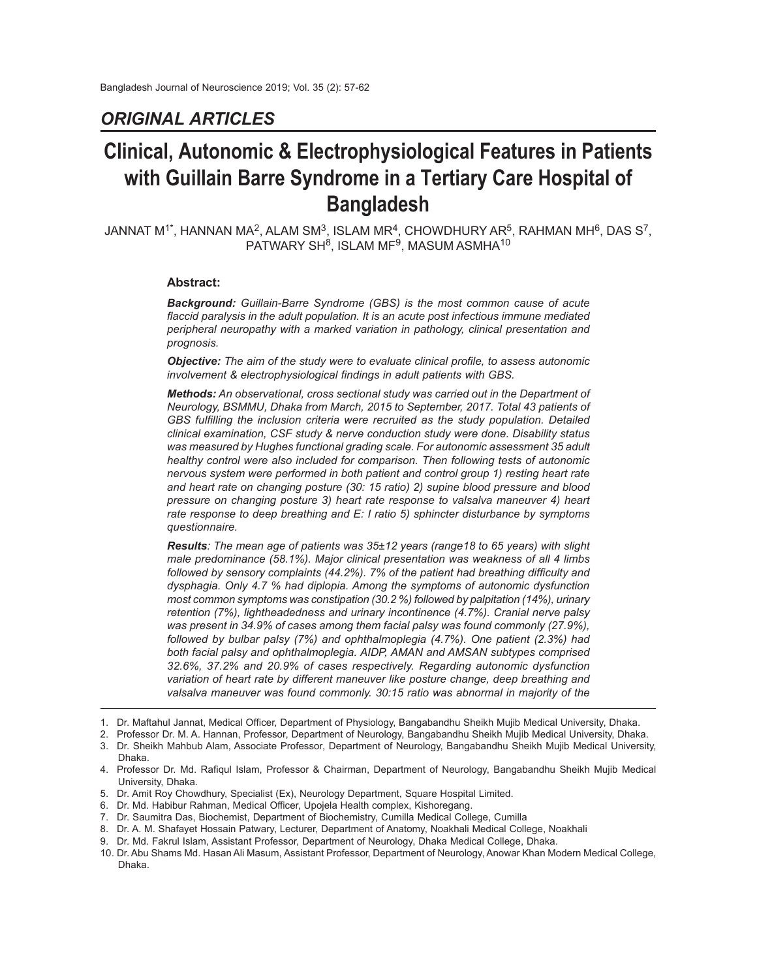## *ORIGINAL ARTICLES*

# **Clinical, Autonomic & Electrophysiological Features in Patients with Guillain Barre Syndrome in a Tertiary Care Hospital of Bangladesh**

JANNAT M $^{1*}$ , HANNAN MA $^2$ , ALAM SM $^3$ , ISLAM MR $^4$ , CHOWDHURY AR $^5$ , RAHMAN MH $^6$ , DAS S $^7$ ,  $\mathsf{PATWARY}$  SH $^8$ , ISLAM MF $^9$ , MASUM ASMHA $^{10}$ 

#### **Abstract:**

*Background: Guillain-Barre Syndrome (GBS) is the most common cause of acute flaccid paralysis in the adult population. It is an acute post infectious immune mediated peripheral neuropathy with a marked variation in pathology, clinical presentation and prognosis.*

*Objective: The aim of the study were to evaluate clinical profile, to assess autonomic involvement & electrophysiological findings in adult patients with GBS.*

*Methods: An observational, cross sectional study was carried out in the Department of Neurology, BSMMU, Dhaka from March, 2015 to September, 2017. Total 43 patients of GBS fulfilling the inclusion criteria were recruited as the study population. Detailed clinical examination, CSF study & nerve conduction study were done. Disability status was measured by Hughes functional grading scale. For autonomic assessment 35 adult healthy control were also included for comparison. Then following tests of autonomic nervous system were performed in both patient and control group 1) resting heart rate and heart rate on changing posture (30: 15 ratio) 2) supine blood pressure and blood pressure on changing posture 3) heart rate response to valsalva maneuver 4) heart rate response to deep breathing and E: I ratio 5) sphincter disturbance by symptoms questionnaire.*

*Results: The mean age of patients was 35±12 years (range18 to 65 years) with slight male predominance (58.1%). Major clinical presentation was weakness of all 4 limbs followed by sensory complaints (44.2%). 7% of the patient had breathing difficulty and dysphagia. Only 4.7 % had diplopia. Among the symptoms of autonomic dysfunction most common symptoms was constipation (30.2 %) followed by palpitation (14%), urinary retention (7%), lightheadedness and urinary incontinence (4.7%). Cranial nerve palsy was present in 34.9% of cases among them facial palsy was found commonly (27.9%), followed by bulbar palsy (7%) and ophthalmoplegia (4.7%). One patient (2.3%) had both facial palsy and ophthalmoplegia. AIDP, AMAN and AMSAN subtypes comprised 32.6%, 37.2% and 20.9% of cases respectively. Regarding autonomic dysfunction variation of heart rate by different maneuver like posture change, deep breathing and valsalva maneuver was found commonly. 30:15 ratio was abnormal in majority of the*

- 8. Dr. A. M. Shafayet Hossain Patwary, Lecturer, Department of Anatomy, Noakhali Medical College, Noakhali
- Dr. Md. Fakrul Islam, Assistant Professor, Department of Neurology, Dhaka Medical College, Dhaka.

<sup>1.</sup> Dr. Maftahul Jannat, Medical Officer, Department of Physiology, Bangabandhu Sheikh Mujib Medical University, Dhaka.

<sup>2.</sup> Professor Dr. M. A. Hannan, Professor, Department of Neurology, Bangabandhu Sheikh Mujib Medical University, Dhaka.

<sup>3.</sup> Dr. Sheikh Mahbub Alam, Associate Professor, Department of Neurology, Bangabandhu Sheikh Mujib Medical University, Dhaka.

<sup>4.</sup> Professor Dr. Md. Rafiqul Islam, Professor & Chairman, Department of Neurology, Bangabandhu Sheikh Mujib Medical University, Dhaka.

<sup>5.</sup> Dr. Amit Roy Chowdhury, Specialist (Ex), Neurology Department, Square Hospital Limited.

<sup>6.</sup> Dr. Md. Habibur Rahman, Medical Officer, Upojela Health complex, Kishoregang.

<sup>7.</sup> Dr. Saumitra Das, Biochemist, Department of Biochemistry, Cumilla Medical College, Cumilla

<sup>10.</sup> Dr. Abu Shams Md. Hasan Ali Masum, Assistant Professor, Department of Neurology, Anowar Khan Modern Medical College, Dhaka.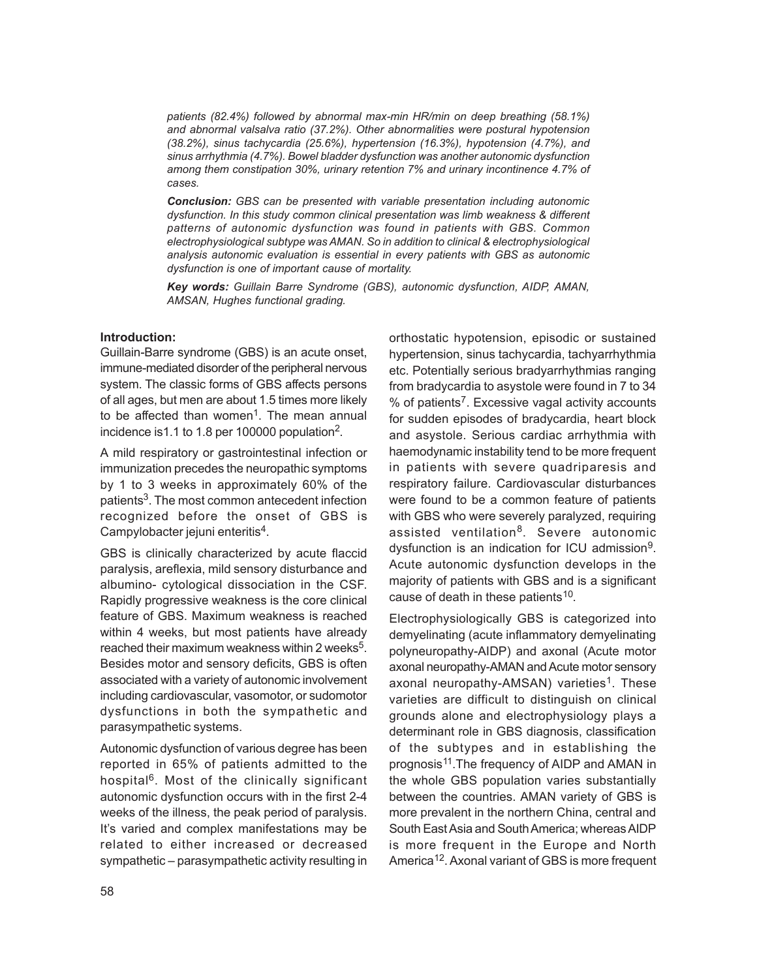*patients (82.4%) followed by abnormal max-min HR/min on deep breathing (58.1%) and abnormal valsalva ratio (37.2%). Other abnormalities were postural hypotension (38.2%), sinus tachycardia (25.6%), hypertension (16.3%), hypotension (4.7%), and sinus arrhythmia (4.7%). Bowel bladder dysfunction was another autonomic dysfunction among them constipation 30%, urinary retention 7% and urinary incontinence 4.7% of cases.*

*Conclusion: GBS can be presented with variable presentation including autonomic dysfunction. In this study common clinical presentation was limb weakness & different patterns of autonomic dysfunction was found in patients with GBS. Common electrophysiological subtype was AMAN. So in addition to clinical & electrophysiological analysis autonomic evaluation is essential in every patients with GBS as autonomic dysfunction is one of important cause of mortality.*

*Key words: Guillain Barre Syndrome (GBS), autonomic dysfunction, AIDP, AMAN, AMSAN, Hughes functional grading.*

## **Introduction:**

Guillain-Barre syndrome (GBS) is an acute onset, immune-mediated disorder of the peripheral nervous system. The classic forms of GBS affects persons of all ages, but men are about 1.5 times more likely to be affected than women<sup>1</sup>. The mean annual incidence is 1.1 to 1.8 per 100000 population<sup>2</sup>.

A mild respiratory or gastrointestinal infection or immunization precedes the neuropathic symptoms by 1 to 3 weeks in approximately 60% of the patients<sup>3</sup>. The most common antecedent infection recognized before the onset of GBS is Campylobacter jejuni enteritis<sup>4</sup>.

GBS is clinically characterized by acute flaccid paralysis, areflexia, mild sensory disturbance and albumino- cytological dissociation in the CSF. Rapidly progressive weakness is the core clinical feature of GBS. Maximum weakness is reached within 4 weeks, but most patients have already reached their maximum weakness within 2 weeks<sup>5</sup>. Besides motor and sensory deficits, GBS is often associated with a variety of autonomic involvement including cardiovascular, vasomotor, or sudomotor dysfunctions in both the sympathetic and parasympathetic systems.

Autonomic dysfunction of various degree has been reported in 65% of patients admitted to the hospital<sup>6</sup>. Most of the clinically significant autonomic dysfunction occurs with in the first 2-4 weeks of the illness, the peak period of paralysis. It's varied and complex manifestations may be related to either increased or decreased sympathetic – parasympathetic activity resulting in orthostatic hypotension, episodic or sustained hypertension, sinus tachycardia, tachyarrhythmia etc. Potentially serious bradyarrhythmias ranging from bradycardia to asystole were found in 7 to 34 % of patients<sup>7</sup>. Excessive vagal activity accounts for sudden episodes of bradycardia, heart block and asystole. Serious cardiac arrhythmia with haemodynamic instability tend to be more frequent in patients with severe quadriparesis and respiratory failure. Cardiovascular disturbances were found to be a common feature of patients with GBS who were severely paralyzed, requiring assisted ventilation<sup>8</sup>. Severe autonomic dysfunction is an indication for ICU admission<sup>9</sup>. Acute autonomic dysfunction develops in the majority of patients with GBS and is a significant cause of death in these patients<sup>10</sup>.

Electrophysiologically GBS is categorized into demyelinating (acute inflammatory demyelinating polyneuropathy-AIDP) and axonal (Acute motor axonal neuropathy-AMAN and Acute motor sensory axonal neuropathy-AMSAN) varieties<sup>1</sup>. These varieties are difficult to distinguish on clinical grounds alone and electrophysiology plays a determinant role in GBS diagnosis, classification of the subtypes and in establishing the prognosis<sup>11</sup>. The frequency of AIDP and AMAN in the whole GBS population varies substantially between the countries. AMAN variety of GBS is more prevalent in the northern China, central and South East Asia and South America; whereas AIDP is more frequent in the Europe and North America<sup>12</sup>. Axonal variant of GBS is more frequent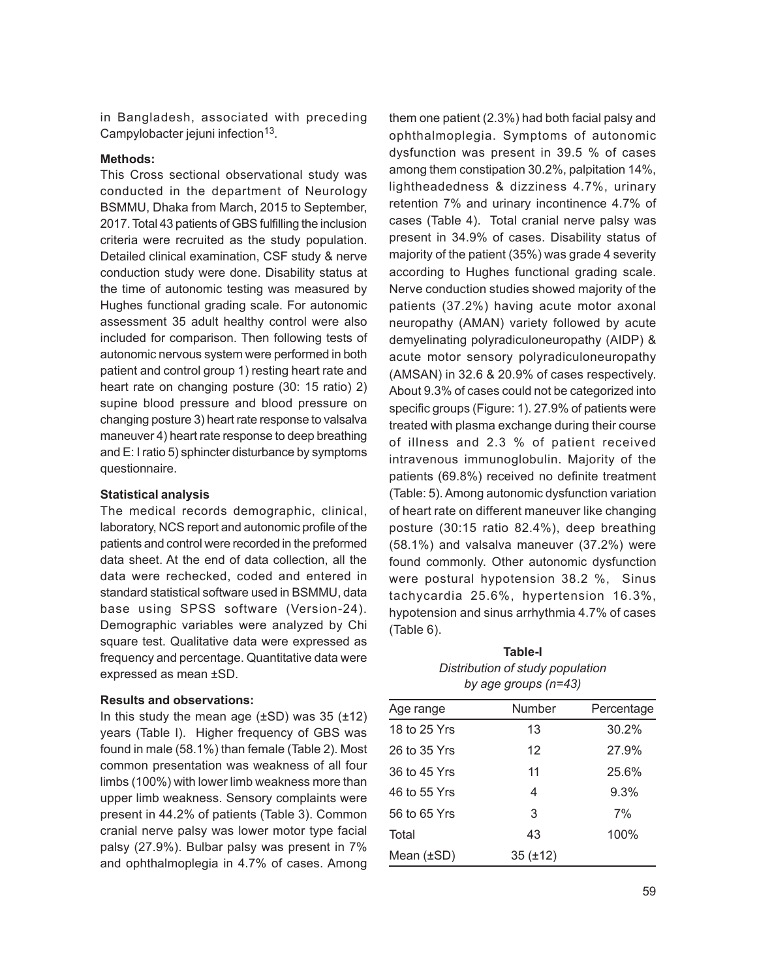in Bangladesh, associated with preceding Campylobacter jejuni infection<sup>13</sup>.

#### **Methods:**

This Cross sectional observational study was conducted in the department of Neurology BSMMU, Dhaka from March, 2015 to September, 2017. Total 43 patients of GBS fulfilling the inclusion criteria were recruited as the study population. Detailed clinical examination, CSF study & nerve conduction study were done. Disability status at the time of autonomic testing was measured by Hughes functional grading scale. For autonomic assessment 35 adult healthy control were also included for comparison. Then following tests of autonomic nervous system were performed in both patient and control group 1) resting heart rate and heart rate on changing posture (30: 15 ratio) 2) supine blood pressure and blood pressure on changing posture 3) heart rate response to valsalva maneuver 4) heart rate response to deep breathing and E: I ratio 5) sphincter disturbance by symptoms questionnaire.

## **Statistical analysis**

The medical records demographic, clinical, laboratory, NCS report and autonomic profile of the patients and control were recorded in the preformed data sheet. At the end of data collection, all the data were rechecked, coded and entered in standard statistical software used in BSMMU, data base using SPSS software (Version-24). Demographic variables were analyzed by Chi square test. Qualitative data were expressed as frequency and percentage. Quantitative data were expressed as mean ±SD.

## **Results and observations:**

In this study the mean age  $(\pm SD)$  was 35  $(\pm 12)$ years (Table I). Higher frequency of GBS was found in male (58.1%) than female (Table 2). Most common presentation was weakness of all four limbs (100%) with lower limb weakness more than upper limb weakness. Sensory complaints were present in 44.2% of patients (Table 3). Common cranial nerve palsy was lower motor type facial palsy (27.9%). Bulbar palsy was present in 7% and ophthalmoplegia in 4.7% of cases. Among

them one patient (2.3%) had both facial palsy and ophthalmoplegia. Symptoms of autonomic dysfunction was present in 39.5 % of cases among them constipation 30.2%, palpitation 14%, lightheadedness & dizziness 4.7%, urinary retention 7% and urinary incontinence 4.7% of cases (Table 4). Total cranial nerve palsy was present in 34.9% of cases. Disability status of majority of the patient (35%) was grade 4 severity according to Hughes functional grading scale. Nerve conduction studies showed majority of the patients (37.2%) having acute motor axonal neuropathy (AMAN) variety followed by acute demyelinating polyradiculoneuropathy (AIDP) & acute motor sensory polyradiculoneuropathy (AMSAN) in 32.6 & 20.9% of cases respectively. About 9.3% of cases could not be categorized into specific groups (Figure: 1). 27.9% of patients were treated with plasma exchange during their course of illness and 2.3 % of patient received intravenous immunoglobulin. Majority of the patients (69.8%) received no definite treatment (Table: 5). Among autonomic dysfunction variation of heart rate on different maneuver like changing posture (30:15 ratio 82.4%), deep breathing (58.1%) and valsalva maneuver (37.2%) were found commonly. Other autonomic dysfunction were postural hypotension 38.2 %, Sinus tachycardia 25.6%, hypertension 16.3%, hypotension and sinus arrhythmia 4.7% of cases (Table 6).

**Table-I** *Distribution of study population by age groups (n=43)*

| Age range       | Number       | Percentage |
|-----------------|--------------|------------|
| 18 to 25 Yrs    | 13           | 30.2%      |
| 26 to 35 Yrs    | 12           | 27.9%      |
| 36 to 45 Yrs    | 11           | 25.6%      |
| 46 to 55 Yrs    | 4            | 9.3%       |
| 56 to 65 Yrs    | 3            | 7%         |
| Total           | 43           | 100%       |
| Mean $(\pm SD)$ | $35(\pm 12)$ |            |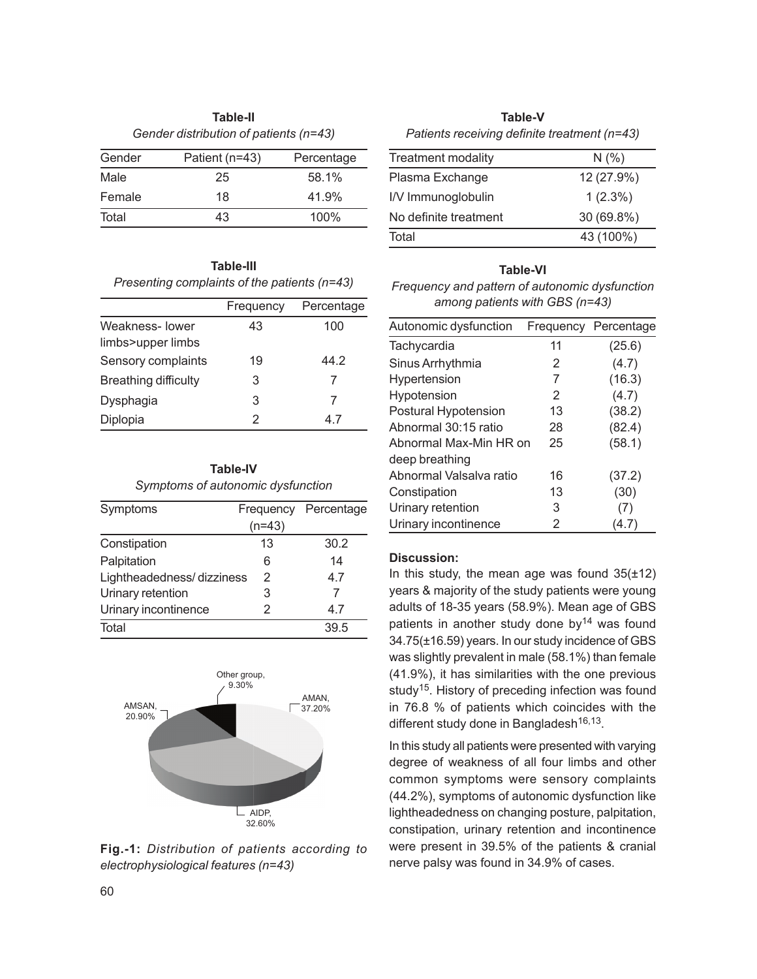|          | Table-II                               |            |
|----------|----------------------------------------|------------|
|          | Gender distribution of patients (n=43) |            |
| $-1$ $-$ | $P - 1$ . $11 - 12$                    | n <b>.</b> |

| Gender | Patient (n=43) | Percentage |
|--------|----------------|------------|
| Male   | 25             | 58.1%      |
| Female | 18             | 41.9%      |
| Total  | 43             | 100%       |

## **Table-III** *Presenting complaints of the patients (n=43)*

|                             | Frequency | Percentage |
|-----------------------------|-----------|------------|
| Weakness-lower              | 43        | 100        |
| limbs>upper limbs           |           |            |
| Sensory complaints          | 19        | 44.2       |
| <b>Breathing difficulty</b> | 3         | 7          |
| Dysphagia                   | 3         | 7          |
| Diplopia                    | 2         | 4.7        |

| <b>Table-IV</b>                   |
|-----------------------------------|
| Symptoms of autonomic dysfunction |

| Symptoms                  | Frequency | Percentage |
|---------------------------|-----------|------------|
|                           | $(n=43)$  |            |
| Constipation              | 13        | 30.2       |
| Palpitation               | 6         | 14         |
| Lightheadedness/dizziness | 2         | 4.7        |
| Urinary retention         | 3         | 7          |
| Urinary incontinence      | 2         | 4.7        |
| Total                     |           | 39.5       |



**Fig.-1:** *Distribution of patients according to electrophysiological features (n=43)*

**Table-V** *Patients receiving definite treatment (n=43)*

| <b>Treatment modality</b> | N(% )        |
|---------------------------|--------------|
| Plasma Exchange           | 12 (27.9%)   |
| I/V Immunoglobulin        | $1(2.3\%)$   |
| No definite treatment     | $30(69.8\%)$ |
| Total                     | 43 (100%)    |

## **Table-VI**

*Frequency and pattern of autonomic dysfunction among patients with GBS (n=43)*

| Autonomic dysfunction   | Frequency | Percentage |
|-------------------------|-----------|------------|
| Tachycardia             | 11        | (25.6)     |
| Sinus Arrhythmia        | 2         | (4.7)      |
| Hypertension            | 7         | (16.3)     |
| Hypotension             | 2         | (4.7)      |
| Postural Hypotension    | 13        | (38.2)     |
| Abnormal 30:15 ratio    | 28        | (82.4)     |
| Abnormal Max-Min HR on  | 25        | (58.1)     |
| deep breathing          |           |            |
| Abnormal Valsalva ratio | 16        | (37.2)     |
| Constipation            | 13        | (30)       |
| Urinary retention       | 3         | (7)        |
| Urinary incontinence    | 2         | (4.7)      |

## **Discussion:**

In this study, the mean age was found  $35(\pm 12)$ years & majority of the study patients were young adults of 18-35 years (58.9%). Mean age of GBS patients in another study done by $14$  was found 34.75(±16.59) years. In our study incidence of GBS was slightly prevalent in male (58.1%) than female (41.9%), it has similarities with the one previous study<sup>15</sup>. History of preceding infection was found in 76.8 % of patients which coincides with the different study done in Bangladesh<sup>16,13</sup>.

In this study all patients were presented with varying degree of weakness of all four limbs and other common symptoms were sensory complaints (44.2%), symptoms of autonomic dysfunction like lightheadedness on changing posture, palpitation, constipation, urinary retention and incontinence were present in 39.5% of the patients & cranial nerve palsy was found in 34.9% of cases.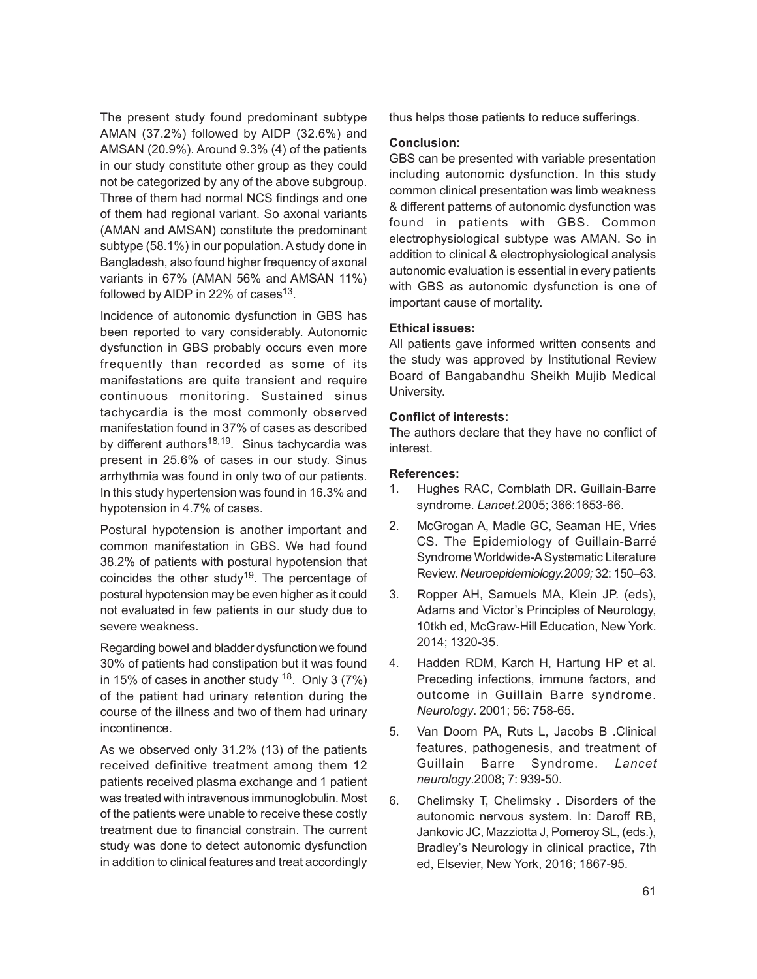The present study found predominant subtype AMAN (37.2%) followed by AIDP (32.6%) and AMSAN (20.9%). Around 9.3% (4) of the patients in our study constitute other group as they could not be categorized by any of the above subgroup. Three of them had normal NCS findings and one of them had regional variant. So axonal variants (AMAN and AMSAN) constitute the predominant subtype (58.1%) in our population. A study done in Bangladesh, also found higher frequency of axonal variants in 67% (AMAN 56% and AMSAN 11%) followed by AIDP in 22% of cases $^{13}$ .

Incidence of autonomic dysfunction in GBS has been reported to vary considerably. Autonomic dysfunction in GBS probably occurs even more frequently than recorded as some of its manifestations are quite transient and require continuous monitoring. Sustained sinus tachycardia is the most commonly observed manifestation found in 37% of cases as described by different authors<sup>18,19</sup>. Sinus tachycardia was present in 25.6% of cases in our study. Sinus arrhythmia was found in only two of our patients. In this study hypertension was found in 16.3% and hypotension in 4.7% of cases.

Postural hypotension is another important and common manifestation in GBS. We had found 38.2% of patients with postural hypotension that coincides the other study<sup>19</sup>. The percentage of postural hypotension may be even higher as it could not evaluated in few patients in our study due to severe weakness.

Regarding bowel and bladder dysfunction we found 30% of patients had constipation but it was found in 15% of cases in another study  $18$ . Only 3 (7%) of the patient had urinary retention during the course of the illness and two of them had urinary incontinence.

As we observed only 31.2% (13) of the patients received definitive treatment among them 12 patients received plasma exchange and 1 patient was treated with intravenous immunoglobulin. Most of the patients were unable to receive these costly treatment due to financial constrain. The current study was done to detect autonomic dysfunction in addition to clinical features and treat accordingly

thus helps those patients to reduce sufferings.

## **Conclusion:**

GBS can be presented with variable presentation including autonomic dysfunction. In this study common clinical presentation was limb weakness & different patterns of autonomic dysfunction was found in patients with GBS. Common electrophysiological subtype was AMAN. So in addition to clinical & electrophysiological analysis autonomic evaluation is essential in every patients with GBS as autonomic dysfunction is one of important cause of mortality.

## **Ethical issues:**

All patients gave informed written consents and the study was approved by Institutional Review Board of Bangabandhu Sheikh Mujib Medical University.

## **Conflict of interests:**

The authors declare that they have no conflict of interest.

### **References:**

- 1. Hughes RAC, Cornblath DR. Guillain-Barre syndrome. *Lancet*.2005; 366:1653-66.
- 2. McGrogan A, Madle GC, Seaman HE, Vries CS. The Epidemiology of Guillain-Barré Syndrome Worldwide-A Systematic Literature Review. *Neuroepidemiology.2009;* 32: 150–63.
- 3. Ropper AH, Samuels MA, Klein JP. (eds), Adams and Victor's Principles of Neurology, 10tkh ed, McGraw-Hill Education, New York. 2014; 1320-35.
- 4. Hadden RDM, Karch H, Hartung HP et al. Preceding infections, immune factors, and outcome in Guillain Barre syndrome. *Neurology*. 2001; 56: 758-65.
- 5. Van Doorn PA, Ruts L, Jacobs B .Clinical features, pathogenesis, and treatment of Guillain Barre Syndrome. *Lancet neurology*.2008; 7: 939-50.
- 6. Chelimsky T, Chelimsky . Disorders of the autonomic nervous system. In: Daroff RB, Jankovic JC, Mazziotta J, Pomeroy SL, (eds.), Bradley's Neurology in clinical practice, 7th ed, Elsevier, New York, 2016; 1867-95.